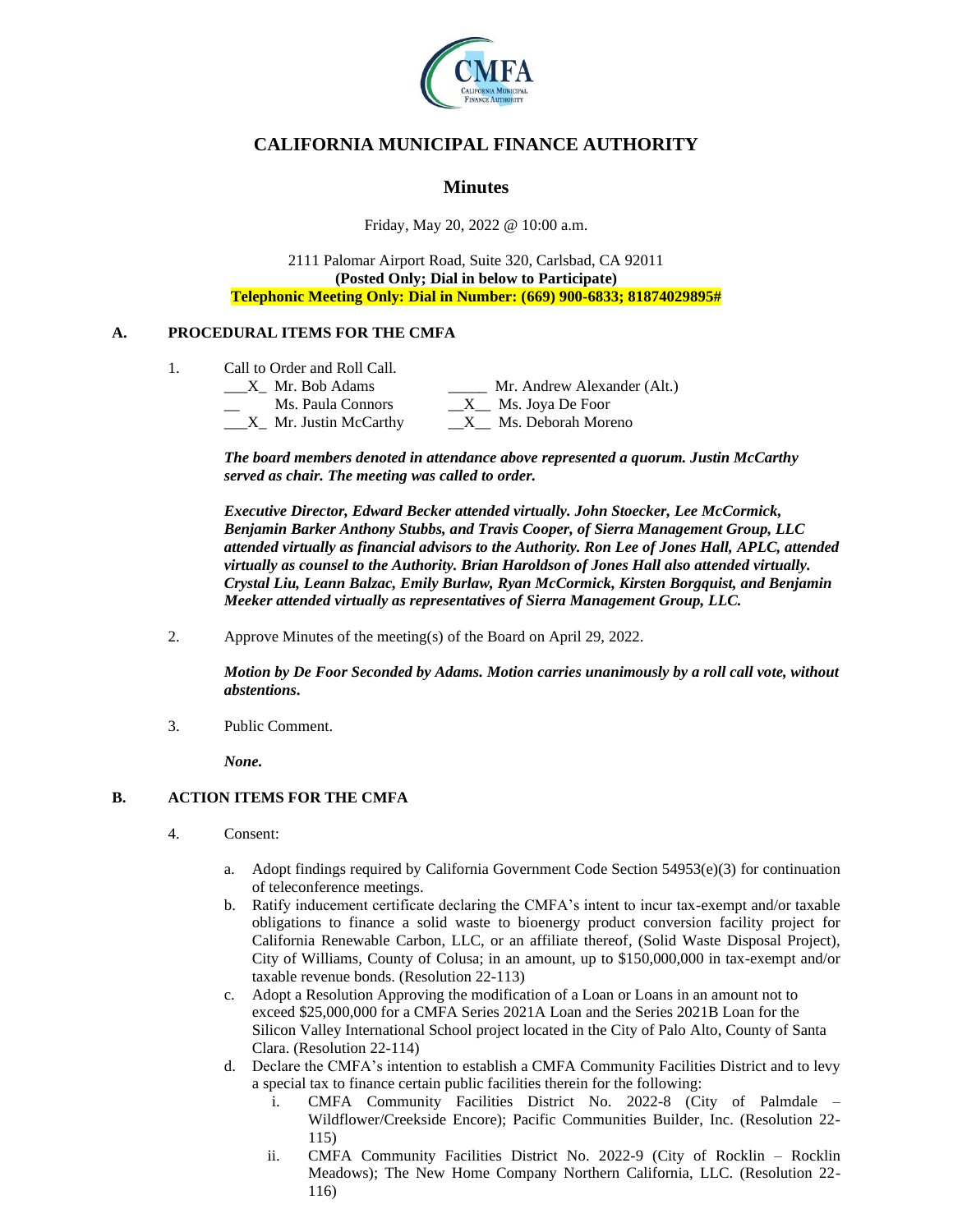

# **CALIFORNIA MUNICIPAL FINANCE AUTHORITY**

# **Minutes**

Friday, May 20, 2022 @ 10:00 a.m.

2111 Palomar Airport Road, Suite 320, Carlsbad, CA 92011 **(Posted Only; Dial in below to Participate) Telephonic Meeting Only: Dial in Number: (669) 900-6833; 81874029895#**

### **A. PROCEDURAL ITEMS FOR THE CMFA**

1. Call to Order and Roll Call.

| X Mr. Bob Adams                      | Mr. Andrew Alexander (Alt.)       |
|--------------------------------------|-----------------------------------|
| Ms. Paula Connors                    | $X_{\text{max}}$ Ms. Joya De Foor |
| $X$ <sub>n</sub> Mr. Justin McCarthy | Ms. Deborah Moreno                |

*The board members denoted in attendance above represented a quorum. Justin McCarthy served as chair. The meeting was called to order.*

*Executive Director, Edward Becker attended virtually. John Stoecker, Lee McCormick, Benjamin Barker Anthony Stubbs, and Travis Cooper, of Sierra Management Group, LLC attended virtually as financial advisors to the Authority. Ron Lee of Jones Hall, APLC, attended virtually as counsel to the Authority. Brian Haroldson of Jones Hall also attended virtually. Crystal Liu, Leann Balzac, Emily Burlaw, Ryan McCormick, Kirsten Borgquist, and Benjamin Meeker attended virtually as representatives of Sierra Management Group, LLC.*

2. Approve Minutes of the meeting(s) of the Board on April 29, 2022.

*Motion by De Foor Seconded by Adams. Motion carries unanimously by a roll call vote, without abstentions***.**

3. Public Comment.

*None.*

### **B. ACTION ITEMS FOR THE CMFA**

- 4. Consent:
	- a. Adopt findings required by California Government Code Section 54953(e)(3) for continuation of teleconference meetings.
	- b. Ratify inducement certificate declaring the CMFA's intent to incur tax-exempt and/or taxable obligations to finance a solid waste to bioenergy product conversion facility project for California Renewable Carbon, LLC, or an affiliate thereof, (Solid Waste Disposal Project), City of Williams, County of Colusa; in an amount, up to \$150,000,000 in tax-exempt and/or taxable revenue bonds. (Resolution 22-113)
	- c. Adopt a Resolution Approving the modification of a Loan or Loans in an amount not to exceed \$25,000,000 for a CMFA Series 2021A Loan and the Series 2021B Loan for the Silicon Valley International School project located in the City of Palo Alto, County of Santa Clara. (Resolution 22-114)
	- d. Declare the CMFA's intention to establish a CMFA Community Facilities District and to levy a special tax to finance certain public facilities therein for the following:
		- i. CMFA Community Facilities District No. 2022-8 (City of Palmdale Wildflower/Creekside Encore); Pacific Communities Builder, Inc. (Resolution 22- 115)
		- ii. CMFA Community Facilities District No. 2022-9 (City of Rocklin Rocklin Meadows); The New Home Company Northern California, LLC. (Resolution 22- 116)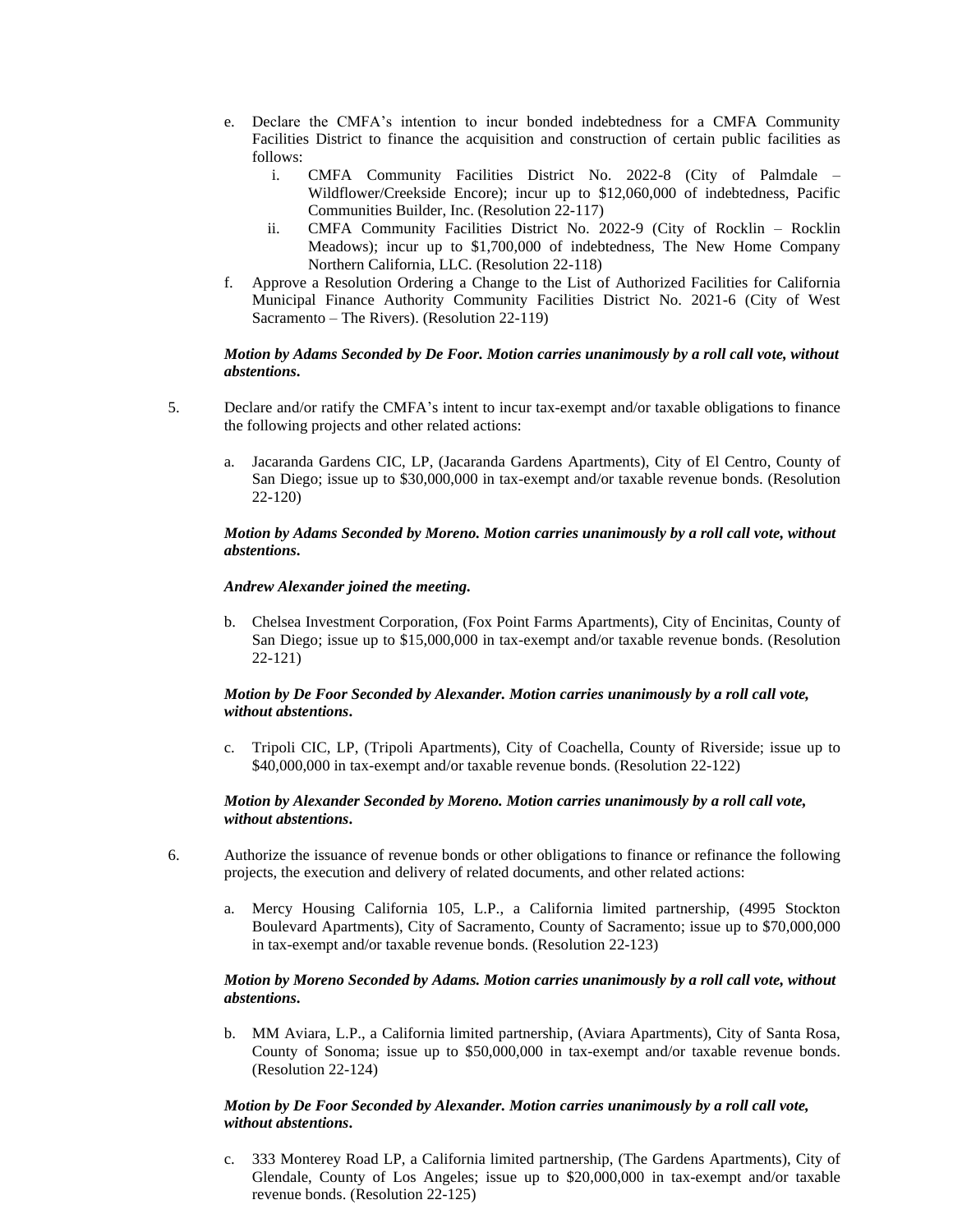- e. Declare the CMFA's intention to incur bonded indebtedness for a CMFA Community Facilities District to finance the acquisition and construction of certain public facilities as follows:
	- i. CMFA Community Facilities District No. 2022-8 (City of Palmdale Wildflower/Creekside Encore); incur up to \$12,060,000 of indebtedness, Pacific Communities Builder, Inc. (Resolution 22-117)
	- ii. CMFA Community Facilities District No. 2022-9 (City of Rocklin Rocklin Meadows); incur up to \$1,700,000 of indebtedness, The New Home Company Northern California, LLC. (Resolution 22-118)
- f. Approve a Resolution Ordering a Change to the List of Authorized Facilities for California Municipal Finance Authority Community Facilities District No. 2021-6 (City of West Sacramento – The Rivers). (Resolution 22-119)

#### *Motion by Adams Seconded by De Foor. Motion carries unanimously by a roll call vote, without abstentions***.**

- 5. Declare and/or ratify the CMFA's intent to incur tax-exempt and/or taxable obligations to finance the following projects and other related actions:
	- a. Jacaranda Gardens CIC, LP, (Jacaranda Gardens Apartments), City of El Centro, County of San Diego; issue up to \$30,000,000 in tax-exempt and/or taxable revenue bonds. (Resolution 22-120)

#### *Motion by Adams Seconded by Moreno. Motion carries unanimously by a roll call vote, without abstentions***.**

#### *Andrew Alexander joined the meeting.*

b. Chelsea Investment Corporation, (Fox Point Farms Apartments), City of Encinitas, County of San Diego; issue up to \$15,000,000 in tax-exempt and/or taxable revenue bonds. (Resolution 22-121)

#### *Motion by De Foor Seconded by Alexander. Motion carries unanimously by a roll call vote, without abstentions***.**

c. Tripoli CIC, LP, (Tripoli Apartments), City of Coachella, County of Riverside; issue up to \$40,000,000 in tax-exempt and/or taxable revenue bonds. (Resolution 22-122)

#### *Motion by Alexander Seconded by Moreno. Motion carries unanimously by a roll call vote, without abstentions***.**

- 6. Authorize the issuance of revenue bonds or other obligations to finance or refinance the following projects, the execution and delivery of related documents, and other related actions:
	- a. Mercy Housing California 105, L.P., a California limited partnership, (4995 Stockton Boulevard Apartments), City of Sacramento, County of Sacramento; issue up to \$70,000,000 in tax-exempt and/or taxable revenue bonds. (Resolution 22-123)

#### *Motion by Moreno Seconded by Adams. Motion carries unanimously by a roll call vote, without abstentions***.**

b. MM Aviara, L.P., a California limited partnership, (Aviara Apartments), City of Santa Rosa, County of Sonoma; issue up to \$50,000,000 in tax-exempt and/or taxable revenue bonds. (Resolution 22-124)

#### *Motion by De Foor Seconded by Alexander. Motion carries unanimously by a roll call vote, without abstentions***.**

c. 333 Monterey Road LP, a California limited partnership, (The Gardens Apartments), City of Glendale, County of Los Angeles; issue up to \$20,000,000 in tax-exempt and/or taxable revenue bonds. (Resolution 22-125)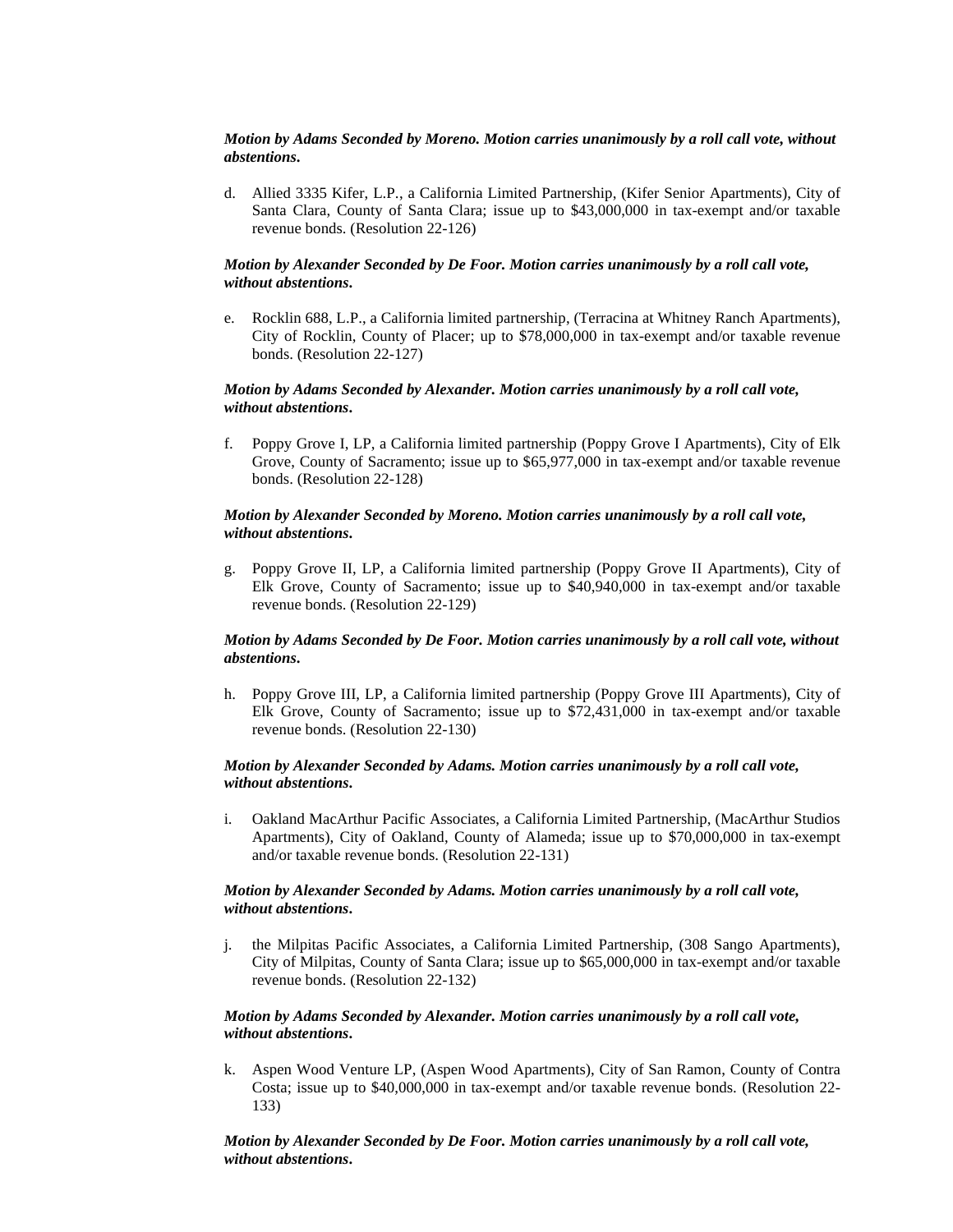#### *Motion by Adams Seconded by Moreno. Motion carries unanimously by a roll call vote, without abstentions***.**

d. Allied 3335 Kifer, L.P., a California Limited Partnership, (Kifer Senior Apartments), City of Santa Clara, County of Santa Clara; issue up to \$43,000,000 in tax-exempt and/or taxable revenue bonds. (Resolution 22-126)

#### *Motion by Alexander Seconded by De Foor. Motion carries unanimously by a roll call vote, without abstentions***.**

e. Rocklin 688, L.P., a California limited partnership, (Terracina at Whitney Ranch Apartments), City of Rocklin, County of Placer; up to \$78,000,000 in tax-exempt and/or taxable revenue bonds. (Resolution 22-127)

#### *Motion by Adams Seconded by Alexander. Motion carries unanimously by a roll call vote, without abstentions***.**

f. Poppy Grove I, LP, a California limited partnership (Poppy Grove I Apartments), City of Elk Grove, County of Sacramento; issue up to \$65,977,000 in tax-exempt and/or taxable revenue bonds. (Resolution 22-128)

#### *Motion by Alexander Seconded by Moreno. Motion carries unanimously by a roll call vote, without abstentions***.**

g. Poppy Grove II, LP, a California limited partnership (Poppy Grove II Apartments), City of Elk Grove, County of Sacramento; issue up to \$40,940,000 in tax-exempt and/or taxable revenue bonds. (Resolution 22-129)

#### *Motion by Adams Seconded by De Foor. Motion carries unanimously by a roll call vote, without abstentions***.**

h. Poppy Grove III, LP, a California limited partnership (Poppy Grove III Apartments), City of Elk Grove, County of Sacramento; issue up to \$72,431,000 in tax-exempt and/or taxable revenue bonds. (Resolution 22-130)

#### *Motion by Alexander Seconded by Adams. Motion carries unanimously by a roll call vote, without abstentions***.**

i. Oakland MacArthur Pacific Associates, a California Limited Partnership, (MacArthur Studios Apartments), City of Oakland, County of Alameda; issue up to \$70,000,000 in tax-exempt and/or taxable revenue bonds. (Resolution 22-131)

#### *Motion by Alexander Seconded by Adams. Motion carries unanimously by a roll call vote, without abstentions***.**

j. the Milpitas Pacific Associates, a California Limited Partnership, (308 Sango Apartments), City of Milpitas, County of Santa Clara; issue up to \$65,000,000 in tax-exempt and/or taxable revenue bonds. (Resolution 22-132)

#### *Motion by Adams Seconded by Alexander. Motion carries unanimously by a roll call vote, without abstentions***.**

k. Aspen Wood Venture LP, (Aspen Wood Apartments), City of San Ramon, County of Contra Costa; issue up to \$40,000,000 in tax-exempt and/or taxable revenue bonds. (Resolution 22- 133)

*Motion by Alexander Seconded by De Foor. Motion carries unanimously by a roll call vote, without abstentions***.**